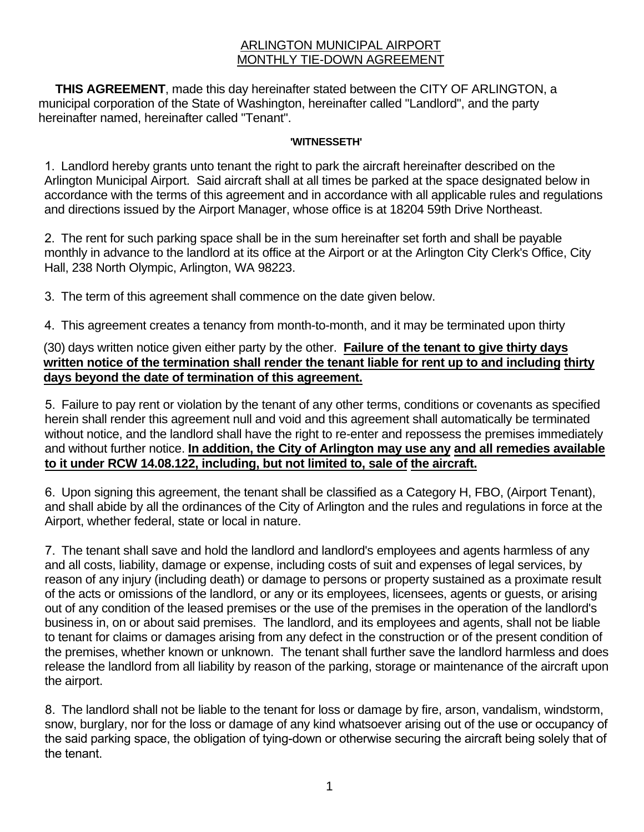## ARLINGTON MUNICIPAL AIRPORT MONTHLY TIE-DOWN AGREEMENT

 **THIS AGREEMENT**, made this day hereinafter stated between the CITY OF ARLINGTON, a municipal corporation of the State of Washington, hereinafter called "Landlord", and the party hereinafter named, hereinafter called "Tenant".

## **'WITNESSETH'**

1. Landlord hereby grants unto tenant the right to park the aircraft hereinafter described on the Arlington Municipal Airport. Said aircraft shall at all times be parked at the space designated below in accordance with the terms of this agreement and in accordance with all applicable rules and regulations and directions issued by the Airport Manager, whose office is at 18204 59th Drive Northeast.

2. The rent for such parking space shall be in the sum hereinafter set forth and shall be payable monthly in advance to the landlord at its office at the Airport or at the Arlington City Clerk's Office, City Hall, 238 North Olympic, Arlington, WA 98223.

3. The term of this agreement shall commence on the date given below.

4. This agreement creates a tenancy from month-to-month, and it may be terminated upon thirty

(30) days written notice given either party by the other. **Failure of the tenant to give thirty days written notice of the termination shall render the tenant liable for rent up to and including thirty days beyond the date of termination of this agreement.**

5. Failure to pay rent or violation by the tenant of any other terms, conditions or covenants as specified herein shall render this agreement null and void and this agreement shall automatically be terminated without notice, and the landlord shall have the right to re-enter and repossess the premises immediately and without further notice. **In addition, the City of Arlington may use any and all remedies available to it under RCW 14.08.122, including, but not limited to, sale of the aircraft.**

6. Upon signing this agreement, the tenant shall be classified as a Category H, FBO, (Airport Tenant), and shall abide by all the ordinances of the City of Arlington and the rules and regulations in force at the Airport, whether federal, state or local in nature.

7. The tenant shall save and hold the landlord and landlord's employees and agents harmless of any and all costs, liability, damage or expense, including costs of suit and expenses of legal services, by reason of any injury (including death) or damage to persons or property sustained as a proximate result of the acts or omissions of the landlord, or any or its employees, licensees, agents or guests, or arising out of any condition of the leased premises or the use of the premises in the operation of the landlord's business in, on or about said premises. The landlord, and its employees and agents, shall not be liable to tenant for claims or damages arising from any defect in the construction or of the present condition of the premises, whether known or unknown. The tenant shall further save the landlord harmless and does release the landlord from all liability by reason of the parking, storage or maintenance of the aircraft upon the airport.

8. The landlord shall not be liable to the tenant for loss or damage by fire, arson, vandalism, windstorm, snow, burglary, nor for the loss or damage of any kind whatsoever arising out of the use or occupancy of the said parking space, the obligation of tying-down or otherwise securing the aircraft being solely that of the tenant.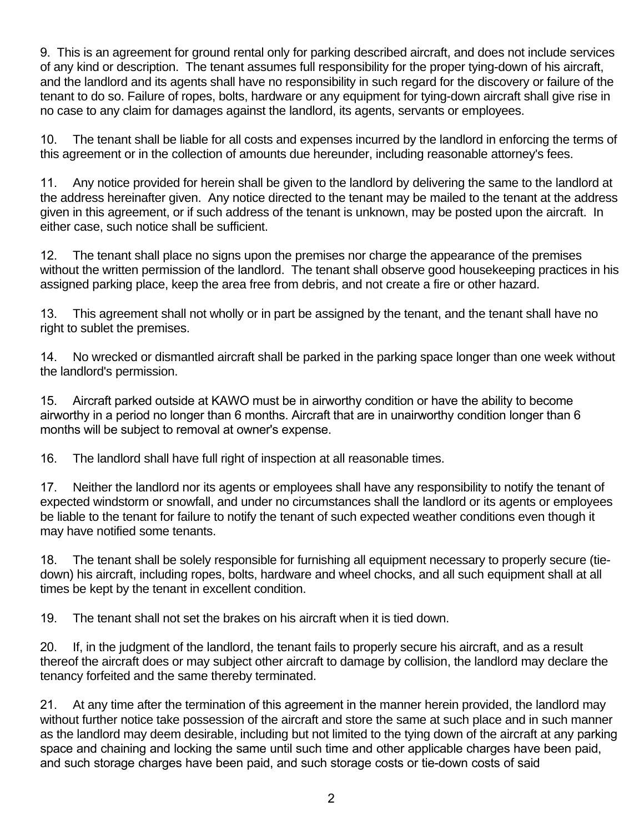9. This is an agreement for ground rental only for parking described aircraft, and does not include services of any kind or description. The tenant assumes full responsibility for the proper tying-down of his aircraft, and the landlord and its agents shall have no responsibility in such regard for the discovery or failure of the tenant to do so. Failure of ropes, bolts, hardware or any equipment for tying-down aircraft shall give rise in no case to any claim for damages against the landlord, its agents, servants or employees.

10. The tenant shall be liable for all costs and expenses incurred by the landlord in enforcing the terms of this agreement or in the collection of amounts due hereunder, including reasonable attorney's fees.

11. Any notice provided for herein shall be given to the landlord by delivering the same to the landlord at the address hereinafter given. Any notice directed to the tenant may be mailed to the tenant at the address given in this agreement, or if such address of the tenant is unknown, may be posted upon the aircraft. In either case, such notice shall be sufficient.

12. The tenant shall place no signs upon the premises nor charge the appearance of the premises without the written permission of the landlord. The tenant shall observe good housekeeping practices in his assigned parking place, keep the area free from debris, and not create a fire or other hazard.

13. This agreement shall not wholly or in part be assigned by the tenant, and the tenant shall have no right to sublet the premises.

14. No wrecked or dismantled aircraft shall be parked in the parking space longer than one week without the landlord's permission.

15. Aircraft parked outside at KAWO must be in airworthy condition or have the ability to become airworthy in a period no longer than 6 months. Aircraft that are in unairworthy condition longer than 6 months will be subject to removal at owner's expense.

16. The landlord shall have full right of inspection at all reasonable times.

17. Neither the landlord nor its agents or employees shall have any responsibility to notify the tenant of expected windstorm or snowfall, and under no circumstances shall the landlord or its agents or employees be liable to the tenant for failure to notify the tenant of such expected weather conditions even though it may have notified some tenants.

18. The tenant shall be solely responsible for furnishing all equipment necessary to properly secure (tiedown) his aircraft, including ropes, bolts, hardware and wheel chocks, and all such equipment shall at all times be kept by the tenant in excellent condition.

19. The tenant shall not set the brakes on his aircraft when it is tied down.

20. If, in the judgment of the landlord, the tenant fails to properly secure his aircraft, and as a result thereof the aircraft does or may subject other aircraft to damage by collision, the landlord may declare the tenancy forfeited and the same thereby terminated.

21. At any time after the termination of this agreement in the manner herein provided, the landlord may without further notice take possession of the aircraft and store the same at such place and in such manner as the landlord may deem desirable, including but not limited to the tying down of the aircraft at any parking space and chaining and locking the same until such time and other applicable charges have been paid, and such storage charges have been paid, and such storage costs or tie-down costs of said